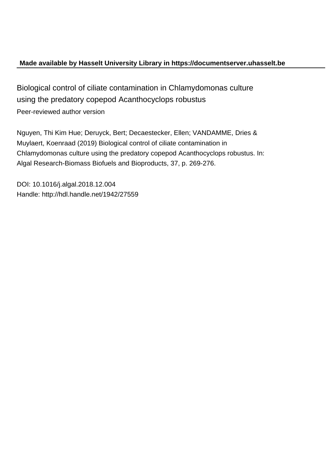# **Made available by Hasselt University Library in https://documentserver.uhasselt.be**

Biological control of ciliate contamination in Chlamydomonas culture using the predatory copepod Acanthocyclops robustus Peer-reviewed author version

Nguyen, Thi Kim Hue; Deruyck, Bert; Decaestecker, Ellen; VANDAMME, Dries & Muylaert, Koenraad (2019) Biological control of ciliate contamination in Chlamydomonas culture using the predatory copepod Acanthocyclops robustus. In: Algal Research-Biomass Biofuels and Bioproducts, 37, p. 269-276.

DOI: 10.1016/j.algal.2018.12.004 Handle: http://hdl.handle.net/1942/27559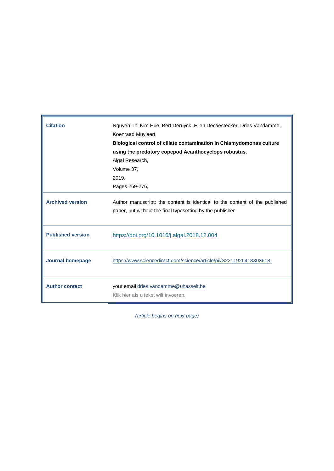| <b>Citation</b>          | Nguyen Thi Kim Hue, Bert Deruyck, Ellen Decaestecker, Dries Vandamme,<br>Koenraad Muylaert,<br>Biological control of ciliate contamination in Chlamydomonas culture<br>using the predatory copepod Acanthocyclops robustus,<br>Algal Research,<br>Volume 37,<br>2019,<br>Pages 269-276, |
|--------------------------|-----------------------------------------------------------------------------------------------------------------------------------------------------------------------------------------------------------------------------------------------------------------------------------------|
| <b>Archived version</b>  | Author manuscript: the content is identical to the content of the published<br>paper, but without the final typesetting by the publisher                                                                                                                                                |
| <b>Published version</b> | https://doi.org/10.1016/j.algal.2018.12.004                                                                                                                                                                                                                                             |
| <b>Journal homepage</b>  | https://www.sciencedirect.com/science/article/pii/S2211926418303618.                                                                                                                                                                                                                    |
| <b>Author contact</b>    | your email dries. vandamme@uhasselt.be<br>Klik hier als u tekst wilt invoeren.                                                                                                                                                                                                          |

*(article begins on next page)*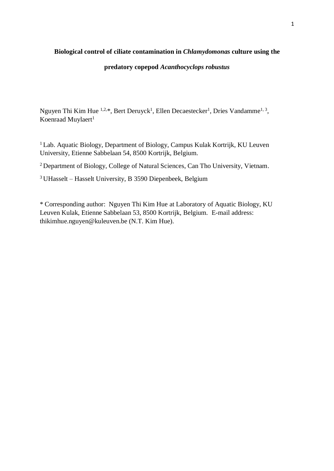# **Biological control of ciliate contamination in** *Chlamydomonas* **culture using the**

# **predatory copepod** *Acanthocyclops robustus*

Nguyen Thi Kim Hue <sup>1,2,\*</sup>, Bert Deruyck<sup>1</sup>, Ellen Decaestecker<sup>1</sup>, Dries Vandamme<sup>1, 3</sup>, Koenraad Muylaert<sup>1</sup>

<sup>1</sup>Lab. Aquatic Biology, Department of Biology, Campus Kulak Kortrijk, KU Leuven University, Etienne Sabbelaan 54, 8500 Kortrijk, Belgium.

<sup>2</sup>Department of Biology, College of Natural Sciences, Can Tho University, Vietnam.

<sup>3</sup>UHasselt – Hasselt University, B 3590 Diepenbeek, Belgium

\* Corresponding author: Nguyen Thi Kim Hue at Laboratory of Aquatic Biology, KU Leuven Kulak, Etienne Sabbelaan 53, 8500 Kortrijk, Belgium. E-mail address: thikimhue.nguyen@kuleuven.be (N.T. Kim Hue).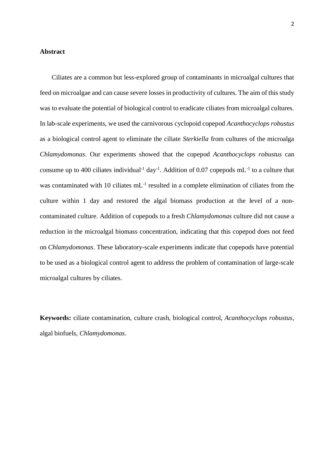### **Abstract**

Ciliates are a common but less-explored group of contaminants in microalgal cultures that feed on microalgae and can cause severe losses in productivity of cultures. The aim of this study was to evaluate the potential of biological control to eradicate ciliates from microalgal cultures. In lab-scale experiments, we used the carnivorous cyclopoid copepod *Acanthocyclops robustus* as a biological control agent to eliminate the ciliate *Sterkiella* from cultures of the microalga *Chlamydomonas*. Our experiments showed that the copepod *Acanthocyclops robustus* can consume up to 400 ciliates individual<sup>-1</sup> day<sup>-1</sup>. Addition of 0.07 copepods  $mL^{-1}$  to a culture that was contaminated with 10 ciliates mL<sup>-1</sup> resulted in a complete elimination of ciliates from the culture within 1 day and restored the algal biomass production at the level of a noncontaminated culture. Addition of copepods to a fresh *Chlamydomonas* culture did not cause a reduction in the microalgal biomass concentration, indicating that this copepod does not feed on *Chlamydomonas*. These laboratory-scale experiments indicate that copepods have potential to be used as a biological control agent to address the problem of contamination of large-scale microalgal cultures by ciliates.

**Keywords:** ciliate contamination, culture crash, biological control, *Acanthocyclops robustus*, algal biofuels, *Chlamydomonas*.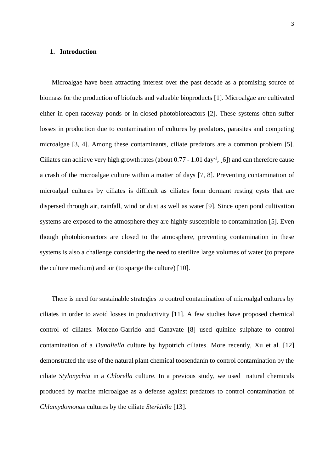### **1. Introduction**

Microalgae have been attracting interest over the past decade as a promising source of biomass for the production of biofuels and valuable bioproducts [1]. Microalgae are cultivated either in open raceway ponds or in closed photobioreactors [2]. These systems often suffer losses in production due to contamination of cultures by predators, parasites and competing microalgae [3, 4]. Among these contaminants, ciliate predators are a common problem [5]. Ciliates can achieve very high growth rates (about  $0.77 - 1.01 \text{ day}^{-1}$ , [6]) and can therefore cause a crash of the microalgae culture within a matter of days [7, 8]. Preventing contamination of microalgal cultures by ciliates is difficult as ciliates form dormant resting cysts that are dispersed through air, rainfall, wind or dust as well as water [9]. Since open pond cultivation systems are exposed to the atmosphere they are highly susceptible to contamination [5]. Even though photobioreactors are closed to the atmosphere, preventing contamination in these systems is also a challenge considering the need to sterilize large volumes of water (to prepare the culture medium) and air (to sparge the culture) [10].

There is need for sustainable strategies to control contamination of microalgal cultures by ciliates in order to avoid losses in productivity [11]. A few studies have proposed chemical control of ciliates. Moreno-Garrido and Canavate [8] used quinine sulphate to control contamination of a *Dunaliella* culture by hypotrich ciliates. More recently, Xu et al. [12] demonstrated the use of the natural plant chemical toosendanin to control contamination by the ciliate *Stylonychia* in a *Chlorella* culture. In a previous study, we used natural chemicals produced by marine microalgae as a defense against predators to control contamination of *Chlamydomonas* cultures by the ciliate *Sterkiella* [13].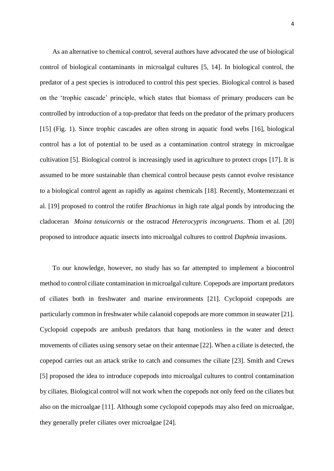As an alternative to chemical control, several authors have advocated the use of biological control of biological contaminants in microalgal cultures [5, 14]. In biological control, the predator of a pest species is introduced to control this pest species. Biological control is based on the 'trophic cascade' principle, which states that biomass of primary producers can be controlled by introduction of a top-predator that feeds on the predator of the primary producers [15] (Fig. 1). Since trophic cascades are often strong in aquatic food webs [16], biological control has a lot of potential to be used as a contamination control strategy in microalgae cultivation [5]. Biological control is increasingly used in agriculture to protect crops [17]. It is assumed to be more sustainable than chemical control because pests cannot evolve resistance to a biological control agent as rapidly as against chemicals [18]. Recently, Montemezzani et al. [19] proposed to control the rotifer *Brachionus* in high rate algal ponds by introducing the cladoceran *Moina tenuicornis* or the ostracod *Heterocypris incongruens*. Thom et al. [20] proposed to introduce aquatic insects into microalgal cultures to control *Daphnia* invasions.

To our knowledge, however, no study has so far attempted to implement a biocontrol method to control ciliate contamination in microalgal culture. Copepods are important predators of ciliates both in freshwater and marine environments [21]. Cyclopoid copepods are particularly common in freshwater while calanoid copepods are more common in seawater [21]. Cyclopoid copepods are ambush predators that hang motionless in the water and detect movements of ciliates using sensory setae on their antennae [22]. When a ciliate is detected, the copepod carries out an attack strike to catch and consumes the ciliate [23]. Smith and Crews [5] proposed the idea to introduce copepods into microalgal cultures to control contamination by ciliates. Biological control will not work when the copepods not only feed on the ciliates but also on the microalgae [11]. Although some cyclopoid copepods may also feed on microalgae, they generally prefer ciliates over microalgae [24].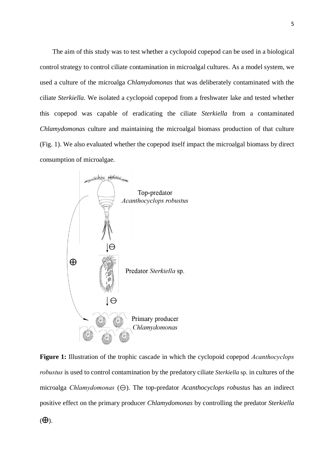The aim of this study was to test whether a cyclopoid copepod can be used in a biological control strategy to control ciliate contamination in microalgal cultures. As a model system, we used a culture of the microalga *Chlamydomonas* that was deliberately contaminated with the ciliate *Sterkiella*. We isolated a cyclopoid copepod from a freshwater lake and tested whether this copepod was capable of eradicating the ciliate *Sterkiella* from a contaminated *Chlamydomonas* culture and maintaining the microalgal biomass production of that culture (Fig. 1). We also evaluated whether the copepod itself impact the microalgal biomass by direct consumption of microalgae.



**Figure 1:** Illustration of the trophic cascade in which the cyclopoid copepod *Acanthocyclops robustus* is used to control contamination by the predatory ciliate *Sterkiella* sp. in cultures of the microalga *Chlamydomonas*  $(\Theta)$ . The top-predator *Acanthocyclops robustus* has an indirect positive effect on the primary producer *Chlamydomonas* by controlling the predator *Sterkiella*

 $(\bigoplus)$ .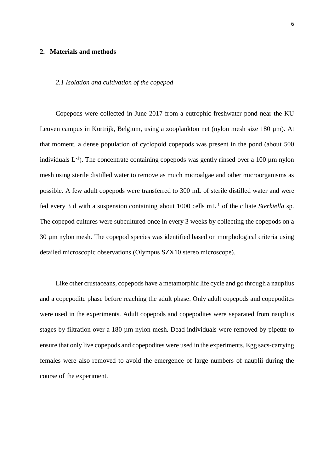### **2. Materials and methods**

#### *2.1 Isolation and cultivation of the copepod*

Copepods were collected in June 2017 from a eutrophic freshwater pond near the KU Leuven campus in Kortrijk, Belgium, using a zooplankton net (nylon mesh size 180 µm). At that moment, a dense population of cyclopoid copepods was present in the pond (about 500 individuals  $L^{-1}$ ). The concentrate containing copepods was gently rinsed over a 100  $\mu$ m nylon mesh using sterile distilled water to remove as much microalgae and other microorganisms as possible. A few adult copepods were transferred to 300 mL of sterile distilled water and were fed every 3 d with a suspension containing about 1000 cells mL-1 of the ciliate *Sterkiella* sp. The copepod cultures were subcultured once in every 3 weeks by collecting the copepods on a 30 µm nylon mesh. The copepod species was identified based on morphological criteria using detailed microscopic observations (Olympus SZX10 stereo microscope).

Like other crustaceans, copepods have a metamorphic life cycle and go through a nauplius and a copepodite phase before reaching the adult phase. Only adult copepods and copepodites were used in the experiments. Adult copepods and copepodites were separated from nauplius stages by filtration over a 180 µm nylon mesh. Dead individuals were removed by pipette to ensure that only live copepods and copepodites were used in the experiments. Egg sacs-carrying females were also removed to avoid the emergence of large numbers of nauplii during the course of the experiment.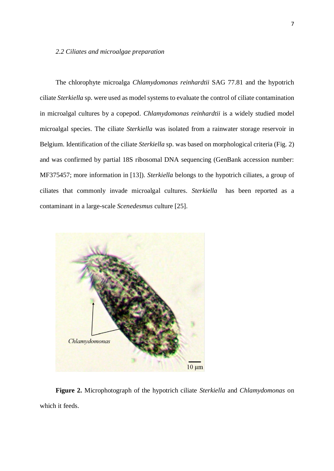### *2.2 Ciliates and microalgae preparation*

The chlorophyte microalga *Chlamydomonas reinhardtii* SAG 77.81 and the hypotrich ciliate *Sterkiella* sp. were used as model systems to evaluate the control of ciliate contamination in microalgal cultures by a copepod. *Chlamydomonas reinhardtii* is a widely studied model microalgal species. The ciliate *Sterkiella* was isolated from a rainwater storage reservoir in Belgium. Identification of the ciliate *Sterkiella* sp. was based on morphological criteria (Fig. 2) and was confirmed by partial 18S ribosomal DNA sequencing (GenBank accession number: MF375457; more information in [13]). *Sterkiella* belongs to the hypotrich ciliates, a group of ciliates that commonly invade microalgal cultures. *Sterkiella* has been reported as a contaminant in a large-scale *Scenedesmus* culture [25].



**Figure 2.** Microphotograph of the hypotrich ciliate *Sterkiella* and *Chlamydomonas* on which it feeds.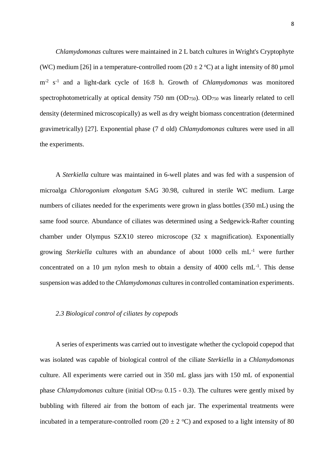*Chlamydomonas* cultures were maintained in 2 L batch cultures in Wright's Cryptophyte (WC) medium [26] in a temperature-controlled room (20  $\pm$  2 °C) at a light intensity of 80 µmol m-2 s -1 and a light-dark cycle of 16:8 h. Growth of *Chlamydomonas* was monitored spectrophotometrically at optical density 750 nm (OD<sub>750</sub>). OD<sub>750</sub> was linearly related to cell density (determined microscopically) as well as dry weight biomass concentration (determined gravimetrically) [27]. Exponential phase (7 d old) *Chlamydomonas* cultures were used in all the experiments.

A *Sterkiella* culture was maintained in 6-well plates and was fed with a suspension of microalga *Chlorogonium elongatum* SAG 30.98, cultured in sterile WC medium. Large numbers of ciliates needed for the experiments were grown in glass bottles (350 mL) using the same food source. Abundance of ciliates was determined using a Sedgewick-Rafter counting chamber under Olympus SZX10 stereo microscope (32 x magnification). Exponentially growing *Sterkiella* cultures with an abundance of about 1000 cells mL-1 were further concentrated on a 10  $\mu$ m nylon mesh to obtain a density of 4000 cells mL $^{-1}$ . This dense suspension was added to the *Chlamydomonas* cultures in controlled contamination experiments.

### *2.3 Biological control of ciliates by copepods*

A series of experiments was carried out to investigate whether the cyclopoid copepod that was isolated was capable of biological control of the ciliate *Sterkiella* in a *Chlamydomonas* culture. All experiments were carried out in 350 mL glass jars with 150 mL of exponential phase *Chlamydomonas* culture (initial OD<sup>750</sup> 0.15 - 0.3). The cultures were gently mixed by bubbling with filtered air from the bottom of each jar. The experimental treatments were incubated in a temperature-controlled room (20  $\pm$  2 °C) and exposed to a light intensity of 80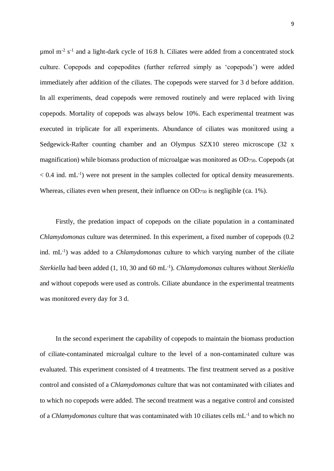$\mu$ mol m<sup>-2</sup> s<sup>-1</sup> and a light-dark cycle of 16:8 h. Ciliates were added from a concentrated stock culture. Copepods and copepodites (further referred simply as 'copepods') were added immediately after addition of the ciliates. The copepods were starved for 3 d before addition. In all experiments, dead copepods were removed routinely and were replaced with living copepods. Mortality of copepods was always below 10%. Each experimental treatment was executed in triplicate for all experiments. Abundance of ciliates was monitored using a Sedgewick-Rafter counting chamber and an Olympus SZX10 stereo microscope (32 x magnification) while biomass production of microalgae was monitored as OD<sub>750</sub>. Copepods (at  $< 0.4$  ind. mL<sup>-1</sup>) were not present in the samples collected for optical density measurements. Whereas, ciliates even when present, their influence on OD<sub>750</sub> is negligible (ca. 1%).

Firstly, the predation impact of copepods on the ciliate population in a contaminated *Chlamydomonas* culture was determined. In this experiment, a fixed number of copepods (0.2 ind. mL<sup>-1</sup>) was added to a *Chlamydomonas* culture to which varying number of the ciliate Sterkiella had been added (1, 10, 30 and 60 mL<sup>-1</sup>). *Chlamydomonas* cultures without *Sterkiella* and without copepods were used as controls. Ciliate abundance in the experimental treatments was monitored every day for 3 d.

In the second experiment the capability of copepods to maintain the biomass production of ciliate-contaminated microalgal culture to the level of a non-contaminated culture was evaluated. This experiment consisted of 4 treatments. The first treatment served as a positive control and consisted of a *Chlamydomonas* culture that was not contaminated with ciliates and to which no copepods were added. The second treatment was a negative control and consisted of a *Chlamydomonas* culture that was contaminated with 10 ciliates cells mL-1 and to which no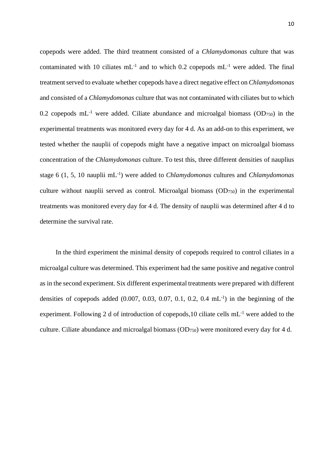copepods were added. The third treatment consisted of a *Chlamydomonas* culture that was contaminated with 10 ciliates  $mL^{-1}$  and to which 0.2 copepods  $mL^{-1}$  were added. The final treatment served to evaluate whether copepods have a direct negative effect on *Chlamydomonas* and consisted of a *Chlamydomonas* culture that was not contaminated with ciliates but to which 0.2 copepods  $mL^{-1}$  were added. Ciliate abundance and microalgal biomass (OD750) in the experimental treatments was monitored every day for 4 d. As an add-on to this experiment, we tested whether the nauplii of copepods might have a negative impact on microalgal biomass concentration of the *Chlamydomonas* culture. To test this, three different densities of nauplius stage 6 (1, 5, 10 nauplii mL-1 ) were added to *Chlamydomonas* cultures and *Chlamydomonas* culture without nauplii served as control. Microalgal biomass (OD750) in the experimental treatments was monitored every day for 4 d. The density of nauplii was determined after 4 d to determine the survival rate.

In the third experiment the minimal density of copepods required to control ciliates in a microalgal culture was determined. This experiment had the same positive and negative control as in the second experiment. Six different experimental treatments were prepared with different densities of copepods added  $(0.007, 0.03, 0.07, 0.1, 0.2, 0.4 \text{ mL}^{-1})$  in the beginning of the experiment. Following 2 d of introduction of copepods,10 ciliate cells mL-1 were added to the culture. Ciliate abundance and microalgal biomass  $(OD_{750})$  were monitored every day for 4 d.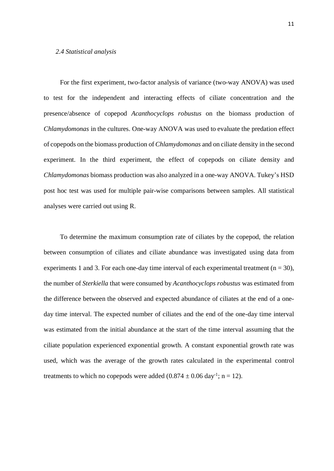### *2.4 Statistical analysis*

For the first experiment, two-factor analysis of variance (two-way ANOVA) was used to test for the independent and interacting effects of ciliate concentration and the presence/absence of copepod *Acanthocyclops robustus* on the biomass production of *Chlamydomonas* in the cultures. One-way ANOVA was used to evaluate the predation effect of copepods on the biomass production of *Chlamydomonas* and on ciliate density in the second experiment. In the third experiment, the effect of copepods on ciliate density and *Chlamydomonas* biomass production was also analyzed in a one-way ANOVA. Tukey's HSD post hoc test was used for multiple pair-wise comparisons between samples. All statistical analyses were carried out using R.

To determine the maximum consumption rate of ciliates by the copepod, the relation between consumption of ciliates and ciliate abundance was investigated using data from experiments 1 and 3. For each one-day time interval of each experimental treatment ( $n = 30$ ), the number of *Sterkiella* that were consumed by *Acanthocyclops robustus* was estimated from the difference between the observed and expected abundance of ciliates at the end of a oneday time interval. The expected number of ciliates and the end of the one-day time interval was estimated from the initial abundance at the start of the time interval assuming that the ciliate population experienced exponential growth. A constant exponential growth rate was used, which was the average of the growth rates calculated in the experimental control treatments to which no copepods were added  $(0.874 \pm 0.06 \text{ day}^{-1})$ ; n = 12).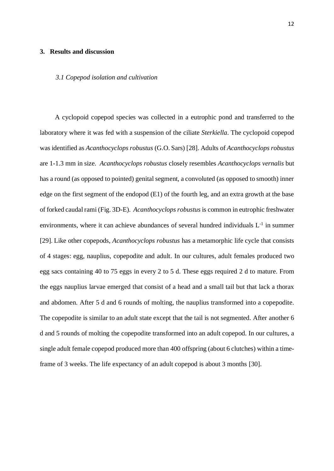### **3. Results and discussion**

#### *3.1 Copepod isolation and cultivation*

A cyclopoid copepod species was collected in a eutrophic pond and transferred to the laboratory where it was fed with a suspension of the ciliate *Sterkiella*. The cyclopoid copepod was identified as *Acanthocyclops robustus* (G.O. Sars) [28]. Adults of *Acanthocyclops robustus* are 1-1.3 mm in size. *Acanthocyclops robustus* closely resembles *Acanthocyclops vernalis* but has a round (as opposed to pointed) genital segment, a convoluted (as opposed to smooth) inner edge on the first segment of the endopod (E1) of the fourth leg, and an extra growth at the base of forked caudal rami (Fig. 3D-E). *Acanthocyclops robustus* is common in eutrophic freshwater environments, where it can achieve abundances of several hundred individuals  $L^{-1}$  in summer [29]. Like other copepods, *Acanthocyclops robustus* has a metamorphic life cycle that consists of 4 stages: egg, nauplius, copepodite and adult. In our cultures, adult females produced two egg sacs containing 40 to 75 eggs in every 2 to 5 d. These eggs required 2 d to mature. From the eggs nauplius larvae emerged that consist of a head and a small tail but that lack a thorax and abdomen. After 5 d and 6 rounds of molting, the nauplius transformed into a copepodite. The copepodite is similar to an adult state except that the tail is not segmented. After another 6 d and 5 rounds of molting the copepodite transformed into an adult copepod. In our cultures, a single adult female copepod produced more than 400 offspring (about 6 clutches) within a timeframe of 3 weeks. The life expectancy of an adult copepod is about 3 months [30].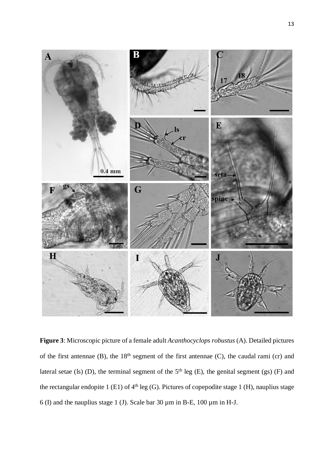

**Figure 3**: Microscopic picture of a female adult *Acanthocyclops robustus* (A). Detailed pictures of the first antennae (B), the 18<sup>th</sup> segment of the first antennae (C), the caudal rami (cr) and lateral setae (ls) (D), the terminal segment of the  $5<sup>th</sup>$  leg (E), the genital segment (gs) (F) and the rectangular endopite 1 (E1) of  $4<sup>th</sup>$  leg (G). Pictures of copepodite stage 1 (H), nauplius stage 6 (I) and the nauplius stage 1 (J). Scale bar 30  $\mu$ m in B-E, 100  $\mu$ m in H-J.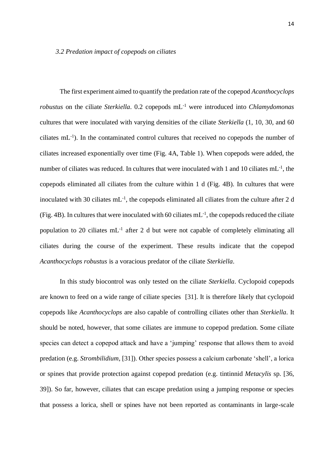The first experiment aimed to quantify the predation rate of the copepod *Acanthocyclops robustus* on the ciliate *Sterkiella*. 0.2 copepods mL -1 were introduced into *Chlamydomonas* cultures that were inoculated with varying densities of the ciliate *Sterkiella* (1, 10, 30, and 60 ciliates mL-1 ). In the contaminated control cultures that received no copepods the number of ciliates increased exponentially over time (Fig. 4A, Table 1). When copepods were added, the number of ciliates was reduced. In cultures that were inoculated with 1 and 10 ciliates mL<sup>-1</sup>, the copepods eliminated all ciliates from the culture within 1 d (Fig. 4B). In cultures that were inoculated with 30 ciliates  $mL^{-1}$ , the copepods eliminated all ciliates from the culture after 2 d (Fig. 4B). In cultures that were inoculated with 60 ciliates  $mL^{-1}$ , the copepods reduced the ciliate population to 20 ciliates mL<sup>-1</sup> after 2 d but were not capable of completely eliminating all ciliates during the course of the experiment. These results indicate that the copepod *Acanthocyclops robustus* is a voracious predator of the ciliate *Sterkiella*.

In this study biocontrol was only tested on the ciliate *Sterkiella*. Cyclopoid copepods are known to feed on a wide range of ciliate species [31]. It is therefore likely that cyclopoid copepods like *Acanthocyclops* are also capable of controlling ciliates other than *Sterkiella*. It should be noted, however, that some ciliates are immune to copepod predation. Some ciliate species can detect a copepod attack and have a 'jumping' response that allows them to avoid predation (e.g. *Strombilidium*, [31]). Other species possess a calcium carbonate 'shell', a lorica or spines that provide protection against copepod predation (e.g. tintinnid *Metacylis* sp. [36, 39]). So far, however, ciliates that can escape predation using a jumping response or species that possess a lorica, shell or spines have not been reported as contaminants in large-scale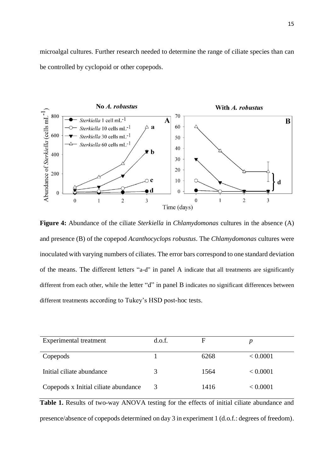microalgal cultures. Further research needed to determine the range of ciliate species than can be controlled by cyclopoid or other copepods.



**Figure 4:** Abundance of the ciliate *Sterkiella* in *Chlamydomonas* cultures in the absence (A) and presence (B) of the copepod *Acanthocyclops robustus*. The *Chlamydomonas* cultures were inoculated with varying numbers of ciliates. The error bars correspond to one standard deviation of the means. The different letters "a-d" in panel A indicate that all treatments are significantly different from each other, while the letter "d" in panel B indicates no significant differences between different treatments according to Tukey's HSD post-hoc tests.

| Experimental treatment               | d.o.f. | F    |          |
|--------------------------------------|--------|------|----------|
| Copepods                             |        | 6268 | < 0.0001 |
| Initial ciliate abundance            | 3      | 1564 | < 0.0001 |
| Copepods x Initial ciliate abundance | 3      | 1416 | < 0.0001 |

**Table 1.** Results of two-way ANOVA testing for the effects of initial ciliate abundance and presence/absence of copepods determined on day 3 in experiment 1 (d.o.f.: degrees of freedom).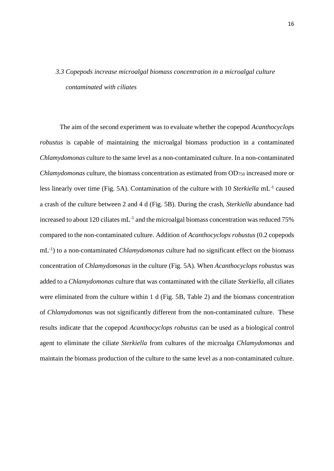# *3.3 Copepods increase microalgal biomass concentration in a microalgal culture contaminated with ciliates*

The aim of the second experiment was to evaluate whether the copepod *Acanthocyclops robustus* is capable of maintaining the microalgal biomass production in a contaminated *Chlamydomonas* culture to the same level as a non-contaminated culture. In a non-contaminated *Chlamydomonas* culture, the biomass concentration as estimated from OD<sup>750</sup> increased more or less linearly over time (Fig. 5A). Contamination of the culture with 10 Sterkiella mL<sup>-1</sup> caused a crash of the culture between 2 and 4 d (Fig. 5B). During the crash, *Sterkiella* abundance had increased to about 120 ciliates mL<sup>-1</sup> and the microalgal biomass concentration was reduced 75% compared to the non-contaminated culture. Addition of *Acanthocyclops robustus* (0.2 copepods mL<sup>-1</sup>) to a non-contaminated *Chlamydomonas* culture had no significant effect on the biomass concentration of *Chlamydomonas* in the culture (Fig. 5A). When *Acanthocyclops robustus* was added to a *Chlamydomonas* culture that was contaminated with the ciliate *Sterkiella*, all ciliates were eliminated from the culture within 1 d (Fig. 5B, Table 2) and the biomass concentration of *Chlamydomonas* was not significantly different from the non-contaminated culture. These results indicate that the copepod *Acanthocyclops robustus* can be used as a biological control agent to eliminate the ciliate *Sterkiella* from cultures of the microalga *Chlamydomonas* and maintain the biomass production of the culture to the same level as a non-contaminated culture.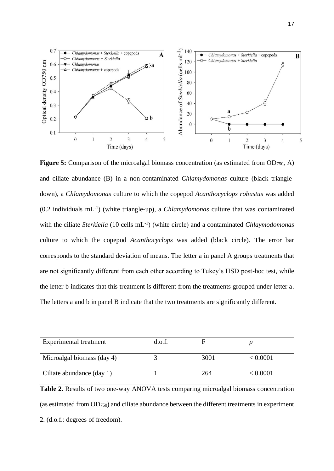

**Figure 5:** Comparison of the microalgal biomass concentration (as estimated from OD<sub>750</sub>, A) and ciliate abundance (B) in a non-contaminated *Chlamydomonas* culture (black triangledown), a *Chlamydomonas* culture to which the copepod *Acanthocyclops robustus* was added (0.2 individuals mL-1 ) (white triangle-up), a *Chlamydomonas* culture that was contaminated with the ciliate *Sterkiella* (10 cells mL-1 ) (white circle) and a contaminated *Chlaymodomonas* culture to which the copepod *Acanthocyclops* was added (black circle). The error bar corresponds to the standard deviation of means. The letter a in panel A groups treatments that are not significantly different from each other according to Tukey's HSD post-hoc test, while the letter b indicates that this treatment is different from the treatments grouped under letter a. The letters a and b in panel B indicate that the two treatments are significantly different.

| Experimental treatment     | d.o.f. |      |          |
|----------------------------|--------|------|----------|
| Microalgal biomass (day 4) |        | 3001 | < 0.0001 |
| Ciliate abundance (day 1)  |        | 264  | < 0.0001 |

**Table 2.** Results of two one-way ANOVA tests comparing microalgal biomass concentration (as estimated from OD750) and ciliate abundance between the different treatments in experiment 2. (d.o.f.: degrees of freedom).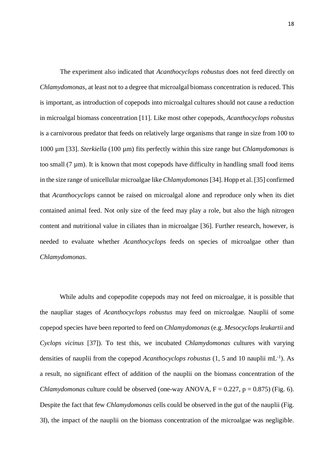The experiment also indicated that *Acanthocyclops robustus* does not feed directly on *Chlamydomonas*, at least not to a degree that microalgal biomass concentration is reduced. This is important, as introduction of copepods into microalgal cultures should not cause a reduction in microalgal biomass concentration [11]. Like most other copepods, *Acanthocyclops robustus* is a carnivorous predator that feeds on relatively large organisms that range in size from 100 to 1000 µm [33]. *Sterkiella* (100 µm) fits perfectly within this size range but *Chlamydomonas* is too small  $(7 \mu m)$ . It is known that most copepods have difficulty in handling small food items in the size range of unicellular microalgae like *Chlamydomonas* [34]. Hopp et al. [35] confirmed that *Acanthocyclops* cannot be raised on microalgal alone and reproduce only when its diet contained animal feed. Not only size of the feed may play a role, but also the high nitrogen content and nutritional value in ciliates than in microalgae [36]. Further research, however, is needed to evaluate whether *Acanthocyclops* feeds on species of microalgae other than *Chlamydomonas*.

While adults and copepodite copepods may not feed on microalgae, it is possible that the naupliar stages of *Acanthocyclops robustus* may feed on microalgae. Nauplii of some copepod species have been reported to feed on *Chlamydomonas* (e.g. *Mesocyclops leukartii* and *Cyclops vicinus* [37]). To test this, we incubated *Chlamydomonas* cultures with varying densities of nauplii from the copepod *Acanthocyclops robustus* (1, 5 and 10 nauplii mL<sup>-1</sup>). As a result, no significant effect of addition of the nauplii on the biomass concentration of the *Chlamydomonas* culture could be observed (one-way ANOVA,  $F = 0.227$ ,  $p = 0.875$ ) (Fig. 6). Despite the fact that few *Chlamydomonas* cells could be observed in the gut of the nauplii (Fig. 3I), the impact of the nauplii on the biomass concentration of the microalgae was negligible.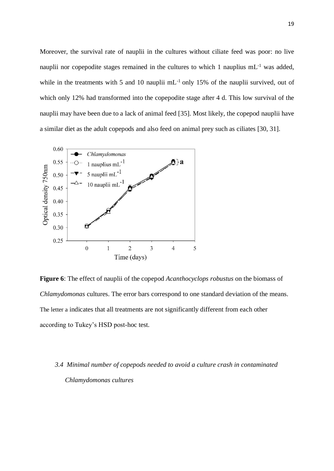Moreover, the survival rate of nauplii in the cultures without ciliate feed was poor: no live nauplii nor copepodite stages remained in the cultures to which 1 nauplius  $mL^{-1}$  was added, while in the treatments with 5 and 10 nauplii mL<sup>-1</sup> only 15% of the nauplii survived, out of which only 12% had transformed into the copepodite stage after 4 d. This low survival of the nauplii may have been due to a lack of animal feed [35]. Most likely, the copepod nauplii have a similar diet as the adult copepods and also feed on animal prey such as ciliates [30, 31].



**Figure 6**: The effect of nauplii of the copepod *Acanthocyclops robustus* on the biomass of *Chlamydomonas* cultures. The error bars correspond to one standard deviation of the means. The letter a indicates that all treatments are not significantly different from each other according to Tukey's HSD post-hoc test.

# *3.4 Minimal number of copepods needed to avoid a culture crash in contaminated Chlamydomonas cultures*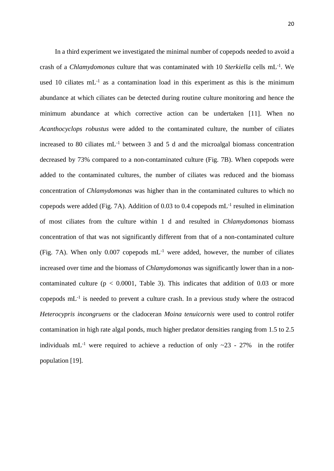In a third experiment we investigated the minimal number of copepods needed to avoid a crash of a *Chlamydomonas* culture that was contaminated with 10 *Sterkiella* cells mL-1 . We used 10 ciliates  $mL^{-1}$  as a contamination load in this experiment as this is the minimum abundance at which ciliates can be detected during routine culture monitoring and hence the minimum abundance at which corrective action can be undertaken [11]. When no *Acanthocyclops robustus* were added to the contaminated culture, the number of ciliates increased to 80 ciliates  $mL^{-1}$  between 3 and 5 d and the microalgal biomass concentration decreased by 73% compared to a non-contaminated culture (Fig. 7B). When copepods were added to the contaminated cultures, the number of ciliates was reduced and the biomass concentration of *Chlamydomonas* was higher than in the contaminated cultures to which no copepods were added (Fig. 7A). Addition of 0.03 to 0.4 copepods  $mL^{-1}$  resulted in elimination of most ciliates from the culture within 1 d and resulted in *Chlamydomonas* biomass concentration of that was not significantly different from that of a non-contaminated culture (Fig. 7A). When only  $0.007$  copepods  $mL^{-1}$  were added, however, the number of ciliates increased over time and the biomass of *Chlamydomonas* was significantly lower than in a noncontaminated culture ( $p < 0.0001$ , Table 3). This indicates that addition of 0.03 or more copepods  $mL^{-1}$  is needed to prevent a culture crash. In a previous study where the ostracod *Heterocypris incongruens* or the cladoceran *Moina tenuicornis* were used to control rotifer contamination in high rate algal ponds, much higher predator densities ranging from 1.5 to 2.5 individuals mL<sup>-1</sup> were required to achieve a reduction of only  $\sim$ 23 - 27% in the rotifer population [19].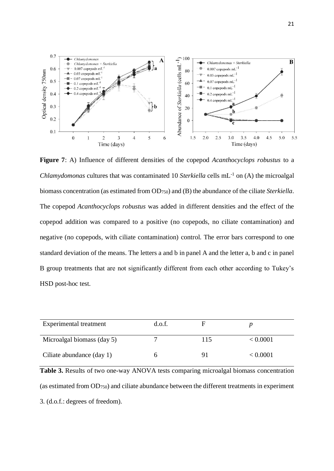

**Figure 7**: A) Influence of different densities of the copepod *Acanthocyclops robustus* to a *Chlamydomonas* cultures that was contaminated 10 *Sterkiella* cells mL<sup>-1</sup> on (A) the microalgal biomass concentration (as estimated from OD750) and (B) the abundance of the ciliate *Sterkiella*. The copepod *Acanthocyclops robustus* was added in different densities and the effect of the copepod addition was compared to a positive (no copepods, no ciliate contamination) and negative (no copepods, with ciliate contamination) control. The error bars correspond to one standard deviation of the means. The letters a and b in panel A and the letter a, b and c in panel B group treatments that are not significantly different from each other according to Tukey's HSD post-hoc test.

| Experimental treatment     | d.o.f. | н   |          |
|----------------------------|--------|-----|----------|
| Microalgal biomass (day 5) |        | 115 | < 0.0001 |
| Ciliate abundance (day 1)  |        | O.  | < 0.0001 |

**Table 3.** Results of two one-way ANOVA tests comparing microalgal biomass concentration (as estimated from OD750) and ciliate abundance between the different treatments in experiment 3. (d.o.f.: degrees of freedom).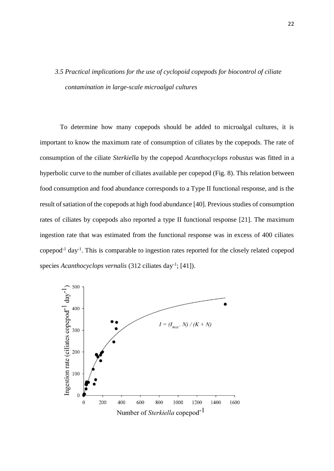# *3.5 Practical implications for the use of cyclopoid copepods for biocontrol of ciliate contamination in large-scale microalgal cultures*

To determine how many copepods should be added to microalgal cultures, it is important to know the maximum rate of consumption of ciliates by the copepods. The rate of consumption of the ciliate *Sterkiella* by the copepod *Acanthocyclops robustus* was fitted in a hyperbolic curve to the number of ciliates available per copepod (Fig. 8). This relation between food consumption and food abundance corresponds to a Type II functional response, and is the result of satiation of the copepods at high food abundance [40]. Previous studies of consumption rates of ciliates by copepods also reported a type II functional response [21]. The maximum ingestion rate that was estimated from the functional response was in excess of 400 ciliates copepod<sup>-1</sup> day<sup>-1</sup>. This is comparable to ingestion rates reported for the closely related copepod species *Acanthocyclops vernalis* (312 ciliates day<sup>-1</sup>; [41]).

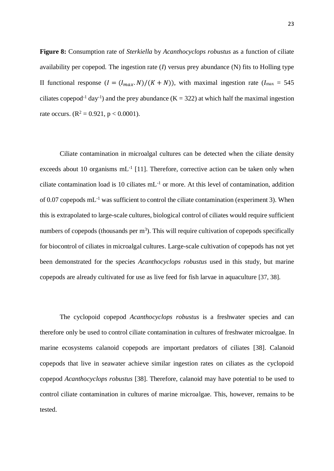**Figure 8:** Consumption rate of *Sterkiella* by *Acanthocyclops robustus* as a function of ciliate availability per copepod. The ingestion rate  $(I)$  versus prey abundance  $(N)$  fits to Holling type II functional response  $(I = (I_{max}, N)/(K + N))$ , with maximal ingestion rate  $(I_{max} = 545)$ ciliates copepod<sup>-1</sup> day<sup>-1</sup>) and the prey abundance (K = 322) at which half the maximal ingestion rate occurs.  $(R^2 = 0.921, p < 0.0001)$ .

Ciliate contamination in microalgal cultures can be detected when the ciliate density exceeds about 10 organisms  $mL^{-1}$  [11]. Therefore, corrective action can be taken only when ciliate contamination load is 10 ciliates mL-1 or more. At this level of contamination, addition of 0.07 copepods  $mL^{-1}$  was sufficient to control the ciliate contamination (experiment 3). When this is extrapolated to large-scale cultures, biological control of ciliates would require sufficient numbers of copepods (thousands per  $m<sup>3</sup>$ ). This will require cultivation of copepods specifically for biocontrol of ciliates in microalgal cultures. Large-scale cultivation of copepods has not yet been demonstrated for the species *Acanthocyclops robustus* used in this study, but marine copepods are already cultivated for use as live feed for fish larvae in aquaculture [37, 38].

The cyclopoid copepod *Acanthocyclops robustus* is a freshwater species and can therefore only be used to control ciliate contamination in cultures of freshwater microalgae. In marine ecosystems calanoid copepods are important predators of ciliates [38]. Calanoid copepods that live in seawater achieve similar ingestion rates on ciliates as the cyclopoid copepod *Acanthocyclops robustus* [38]. Therefore, calanoid may have potential to be used to control ciliate contamination in cultures of marine microalgae. This, however, remains to be tested.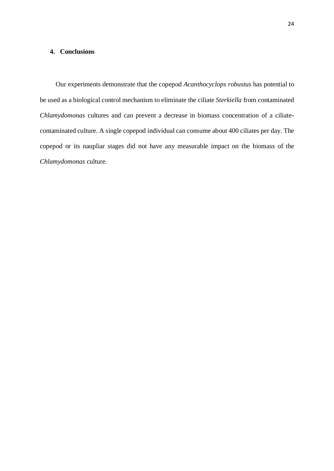### **4. Conclusions**

Our experiments demonstrate that the copepod *Acanthocyclops robustus* has potential to be used as a biological control mechanism to eliminate the ciliate *Sterkiella* from contaminated *Chlamydomonas* cultures and can prevent a decrease in biomass concentration of a ciliatecontaminated culture. A single copepod individual can consume about 400 ciliates per day. The copepod or its naupliar stages did not have any measurable impact on the biomass of the *Chlamydomonas* culture.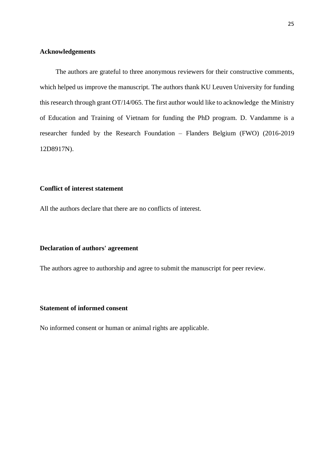### **Acknowledgements**

The authors are grateful to three anonymous reviewers for their constructive comments, which helped us improve the manuscript. The authors thank KU Leuven University for funding this research through grant OT/14/065. The first author would like to acknowledge the Ministry of Education and Training of Vietnam for funding the PhD program. D. Vandamme is a researcher funded by the Research Foundation – Flanders Belgium (FWO) (2016-2019 12D8917N).

# **Conflict of interest statement**

All the authors declare that there are no conflicts of interest.

### **Declaration of authors' agreement**

The authors agree to authorship and agree to submit the manuscript for peer review.

### **Statement of informed consent**

No informed consent or human or animal rights are applicable.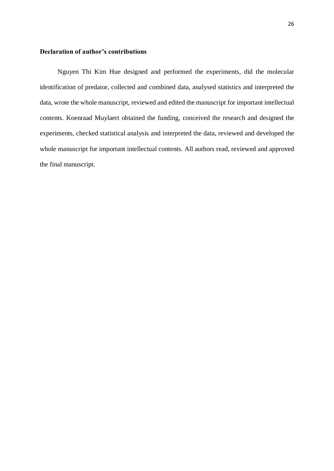### **Declaration of author's contributions**

Nguyen Thi Kim Hue designed and performed the experiments, did the molecular identification of predator, collected and combined data, analysed statistics and interpreted the data, wrote the whole manuscript, reviewed and edited the manuscript for important intellectual contents. Koenraad Muylaert obtained the funding, conceived the research and designed the experiments, checked statistical analysis and interpreted the data, reviewed and developed the whole manuscript for important intellectual contents. All authors read, reviewed and approved the final manuscript.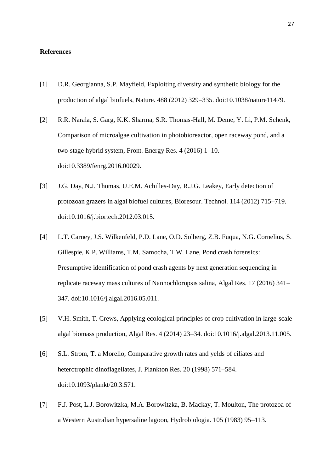### **References**

- [1] D.R. Georgianna, S.P. Mayfield, Exploiting diversity and synthetic biology for the production of algal biofuels, Nature. 488 (2012) 329–335. doi:10.1038/nature11479.
- [2] R.R. Narala, S. Garg, K.K. Sharma, S.R. Thomas-Hall, M. Deme, Y. Li, P.M. Schenk, Comparison of microalgae cultivation in photobioreactor, open raceway pond, and a two-stage hybrid system, Front. Energy Res. 4 (2016) 1–10. doi:10.3389/fenrg.2016.00029.
- [3] J.G. Day, N.J. Thomas, U.E.M. Achilles-Day, R.J.G. Leakey, Early detection of protozoan grazers in algal biofuel cultures, Bioresour. Technol. 114 (2012) 715–719. doi:10.1016/j.biortech.2012.03.015.
- [4] L.T. Carney, J.S. Wilkenfeld, P.D. Lane, O.D. Solberg, Z.B. Fuqua, N.G. Cornelius, S. Gillespie, K.P. Williams, T.M. Samocha, T.W. Lane, Pond crash forensics: Presumptive identification of pond crash agents by next generation sequencing in replicate raceway mass cultures of Nannochloropsis salina, Algal Res. 17 (2016) 341– 347. doi:10.1016/j.algal.2016.05.011.
- [5] V.H. Smith, T. Crews, Applying ecological principles of crop cultivation in large-scale algal biomass production, Algal Res. 4 (2014) 23–34. doi:10.1016/j.algal.2013.11.005.
- [6] S.L. Strom, T. a Morello, Comparative growth rates and yelds of ciliates and heterotrophic dinoflagellates, J. Plankton Res. 20 (1998) 571–584. doi:10.1093/plankt/20.3.571.
- [7] F.J. Post, L.J. Borowitzka, M.A. Borowitzka, B. Mackay, T. Moulton, The protozoa of a Western Australian hypersaline lagoon, Hydrobiologia. 105 (1983) 95–113.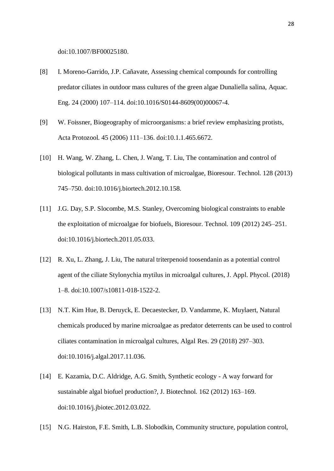doi:10.1007/BF00025180.

- [8] I. Moreno-Garrido, J.P. Cañavate, Assessing chemical compounds for controlling predator ciliates in outdoor mass cultures of the green algae Dunaliella salina, Aquac. Eng. 24 (2000) 107–114. doi:10.1016/S0144-8609(00)00067-4.
- [9] W. Foissner, Biogeography of microorganisms: a brief review emphasizing protists, Acta Protozool. 45 (2006) 111–136. doi:10.1.1.465.6672.
- [10] H. Wang, W. Zhang, L. Chen, J. Wang, T. Liu, The contamination and control of biological pollutants in mass cultivation of microalgae, Bioresour. Technol. 128 (2013) 745–750. doi:10.1016/j.biortech.2012.10.158.
- [11] J.G. Day, S.P. Slocombe, M.S. Stanley, Overcoming biological constraints to enable the exploitation of microalgae for biofuels, Bioresour. Technol. 109 (2012) 245–251. doi:10.1016/j.biortech.2011.05.033.
- [12] R. Xu, L. Zhang, J. Liu, The natural triterpenoid toosendanin as a potential control agent of the ciliate Stylonychia mytilus in microalgal cultures, J. Appl. Phycol. (2018) 1–8. doi:10.1007/s10811-018-1522-2.
- [13] N.T. Kim Hue, B. Deruyck, E. Decaestecker, D. Vandamme, K. Muylaert, Natural chemicals produced by marine microalgae as predator deterrents can be used to control ciliates contamination in microalgal cultures, Algal Res. 29 (2018) 297–303. doi:10.1016/j.algal.2017.11.036.
- [14] E. Kazamia, D.C. Aldridge, A.G. Smith, Synthetic ecology A way forward for sustainable algal biofuel production?, J. Biotechnol. 162 (2012) 163–169. doi:10.1016/j.jbiotec.2012.03.022.
- [15] N.G. Hairston, F.E. Smith, L.B. Slobodkin, Community structure, population control,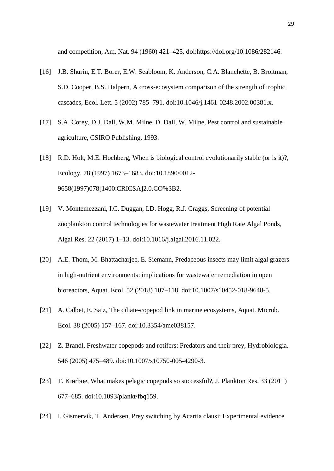and competition, Am. Nat. 94 (1960) 421–425. doi:https://doi.org/10.1086/282146.

- [16] J.B. Shurin, E.T. Borer, E.W. Seabloom, K. Anderson, C.A. Blanchette, B. Broitman, S.D. Cooper, B.S. Halpern, A cross-ecosystem comparison of the strength of trophic cascades, Ecol. Lett. 5 (2002) 785–791. doi:10.1046/j.1461-0248.2002.00381.x.
- [17] S.A. Corey, D.J. Dall, W.M. Milne, D. Dall, W. Milne, Pest control and sustainable agriculture, CSIRO Publishing, 1993.
- [18] R.D. Holt, M.E. Hochberg, When is biological control evolutionarily stable (or is it)?, Ecology. 78 (1997) 1673–1683. doi:10.1890/0012- 9658(1997)078[1400:CRICSA]2.0.CO%3B2.
- [19] V. Montemezzani, I.C. Duggan, I.D. Hogg, R.J. Craggs, Screening of potential zooplankton control technologies for wastewater treatment High Rate Algal Ponds, Algal Res. 22 (2017) 1–13. doi:10.1016/j.algal.2016.11.022.
- [20] A.E. Thom, M. Bhattacharjee, E. Siemann, Predaceous insects may limit algal grazers in high-nutrient environments: implications for wastewater remediation in open bioreactors, Aquat. Ecol. 52 (2018) 107–118. doi:10.1007/s10452-018-9648-5.
- [21] A. Calbet, E. Saiz, The ciliate-copepod link in marine ecosystems, Aquat. Microb. Ecol. 38 (2005) 157–167. doi:10.3354/ame038157.
- [22] Z. Brandl, Freshwater copepods and rotifers: Predators and their prey, Hydrobiologia. 546 (2005) 475–489. doi:10.1007/s10750-005-4290-3.
- [23] T. Kiørboe, What makes pelagic copepods so successful?, J. Plankton Res. 33 (2011) 677–685. doi:10.1093/plankt/fbq159.
- [24] I. Gismervik, T. Andersen, Prey switching by Acartia clausi: Experimental evidence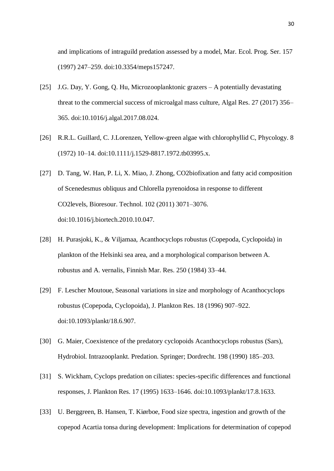and implications of intraguild predation assessed by a model, Mar. Ecol. Prog. Ser. 157 (1997) 247–259. doi:10.3354/meps157247.

- [25] J.G. Day, Y. Gong, Q. Hu, Microzooplanktonic grazers A potentially devastating threat to the commercial success of microalgal mass culture, Algal Res. 27 (2017) 356– 365. doi:10.1016/j.algal.2017.08.024.
- [26] R.R.L. Guillard, C. J.Lorenzen, Yellow-green algae with chlorophyllid C, Phycology. 8 (1972) 10–14. doi:10.1111/j.1529-8817.1972.tb03995.x.
- [27] D. Tang, W. Han, P. Li, X. Miao, J. Zhong, CO2biofixation and fatty acid composition of Scenedesmus obliquus and Chlorella pyrenoidosa in response to different CO2levels, Bioresour. Technol. 102 (2011) 3071–3076. doi:10.1016/j.biortech.2010.10.047.
- [28] H. Purasjoki, K., & Viljamaa, Acanthocyclops robustus (Copepoda, Cyclopoida) in plankton of the Helsinki sea area, and a morphological comparison between A. robustus and A. vernalis, Finnish Mar. Res. 250 (1984) 33–44.
- [29] F. Lescher Moutoue, Seasonal variations in size and morphology of Acanthocyclops robustus (Copepoda, Cyclopoida), J. Plankton Res. 18 (1996) 907–922. doi:10.1093/plankt/18.6.907.
- [30] G. Maier, Coexistence of the predatory cyclopoids Acanthocyclops robustus (Sars), Hydrobiol. Intrazooplankt. Predation. Springer; Dordrecht. 198 (1990) 185–203.
- [31] S. Wickham, Cyclops predation on ciliates: species-specific differences and functional responses, J. Plankton Res. 17 (1995) 1633–1646. doi:10.1093/plankt/17.8.1633.
- [33] U. Berggreen, B. Hansen, T. Kiørboe, Food size spectra, ingestion and growth of the copepod Acartia tonsa during development: Implications for determination of copepod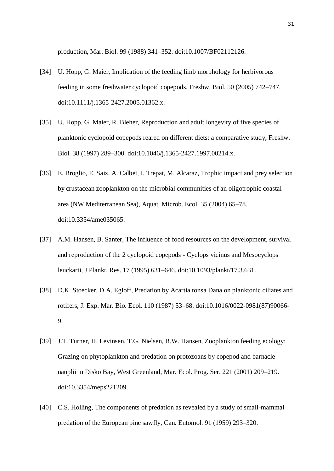production, Mar. Biol. 99 (1988) 341–352. doi:10.1007/BF02112126.

- [34] U. Hopp, G. Maier, Implication of the feeding limb morphology for herbivorous feeding in some freshwater cyclopoid copepods, Freshw. Biol. 50 (2005) 742–747. doi:10.1111/j.1365-2427.2005.01362.x.
- [35] U. Hopp, G. Maier, R. Bleher, Reproduction and adult longevity of five species of planktonic cyclopoid copepods reared on different diets: a comparative study, Freshw. Biol. 38 (1997) 289–300. doi:10.1046/j.1365-2427.1997.00214.x.
- [36] E. Broglio, E. Saiz, A. Calbet, I. Trepat, M. Alcaraz, Trophic impact and prey selection by crustacean zooplankton on the microbial communities of an oligotrophic coastal area (NW Mediterranean Sea), Aquat. Microb. Ecol. 35 (2004) 65–78. doi:10.3354/ame035065.
- [37] A.M. Hansen, B. Santer, The influence of food resources on the development, survival and reproduction of the 2 cyclopoid copepods - Cyclops vicinus and Mesocyclops leuckarti, J Plankt. Res. 17 (1995) 631–646. doi:10.1093/plankt/17.3.631.
- [38] D.K. Stoecker, D.A. Egloff, Predation by Acartia tonsa Dana on planktonic ciliates and rotifers, J. Exp. Mar. Bio. Ecol. 110 (1987) 53–68. doi:10.1016/0022-0981(87)90066- 9.
- [39] J.T. Turner, H. Levinsen, T.G. Nielsen, B.W. Hansen, Zooplankton feeding ecology: Grazing on phytoplankton and predation on protozoans by copepod and barnacle nauplii in Disko Bay, West Greenland, Mar. Ecol. Prog. Ser. 221 (2001) 209–219. doi:10.3354/meps221209.
- [40] C.S. Holling, The components of predation as revealed by a study of small-mammal predation of the European pine sawfly, Can. Entomol. 91 (1959) 293–320.